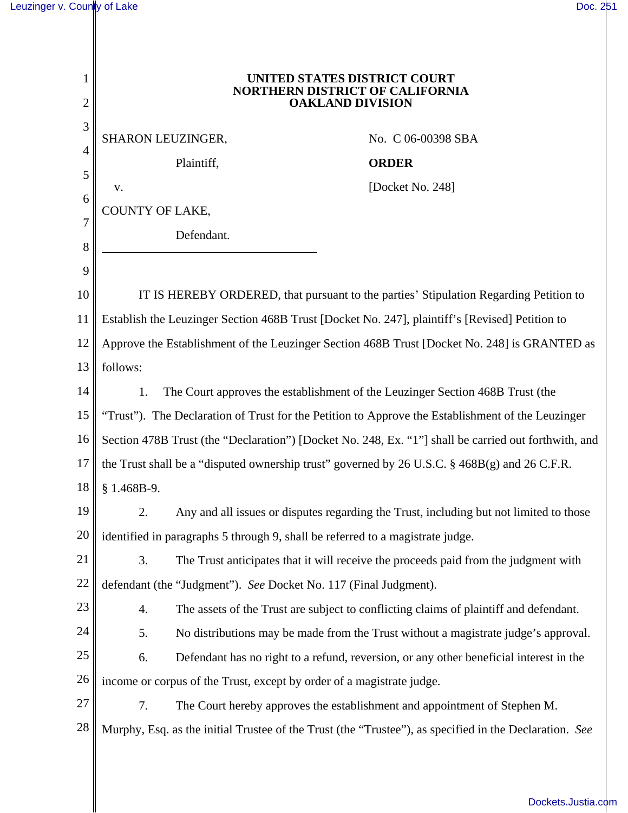|    | UNITED STATES DISTRICT COURT<br><b>NORTHERN DISTRICT OF CALIFORNIA</b><br><b>OAKLAND DIVISION</b>      |                                                                                        |
|----|--------------------------------------------------------------------------------------------------------|----------------------------------------------------------------------------------------|
| 3  | SHARON LEUZINGER,                                                                                      | No. C 06-00398 SBA                                                                     |
| 4  | Plaintiff,                                                                                             | <b>ORDER</b>                                                                           |
| 5  | V.                                                                                                     | [Docket No. 248]                                                                       |
| 6  | <b>COUNTY OF LAKE,</b>                                                                                 |                                                                                        |
| 7  | Defendant.                                                                                             |                                                                                        |
| 8  |                                                                                                        |                                                                                        |
| 9  |                                                                                                        |                                                                                        |
| 10 | IT IS HEREBY ORDERED, that pursuant to the parties' Stipulation Regarding Petition to                  |                                                                                        |
| 11 | Establish the Leuzinger Section 468B Trust [Docket No. 247], plaintiff's [Revised] Petition to         |                                                                                        |
| 12 | Approve the Establishment of the Leuzinger Section 468B Trust [Docket No. 248] is GRANTED as           |                                                                                        |
| 13 | follows:                                                                                               |                                                                                        |
| 14 | The Court approves the establishment of the Leuzinger Section 468B Trust (the<br>1.                    |                                                                                        |
| 15 | "Trust"). The Declaration of Trust for the Petition to Approve the Establishment of the Leuzinger      |                                                                                        |
| 16 | Section 478B Trust (the "Declaration") [Docket No. 248, Ex. "1"] shall be carried out forthwith, and   |                                                                                        |
| 17 | the Trust shall be a "disputed ownership trust" governed by $26$ U.S.C. § 468B(g) and $26$ C.F.R.      |                                                                                        |
| 18 | $§ 1.468B-9.$                                                                                          |                                                                                        |
| 19 |                                                                                                        | Any and all issues or disputes regarding the Trust, including but not limited to those |
| 20 | identified in paragraphs 5 through 9, shall be referred to a magistrate judge.                         |                                                                                        |
| 21 | 3.                                                                                                     | The Trust anticipates that it will receive the proceeds paid from the judgment with    |
| 22 | defendant (the "Judgment"). See Docket No. 117 (Final Judgment).                                       |                                                                                        |
| 23 | $\overline{4}$ .                                                                                       | The assets of the Trust are subject to conflicting claims of plaintiff and defendant.  |
| 24 | 5.                                                                                                     | No distributions may be made from the Trust without a magistrate judge's approval.     |
| 25 | 6.                                                                                                     | Defendant has no right to a refund, reversion, or any other beneficial interest in the |
| 26 | income or corpus of the Trust, except by order of a magistrate judge.                                  |                                                                                        |
| 27 | 7.<br>The Court hereby approves the establishment and appointment of Stephen M.                        |                                                                                        |
| 28 | Murphy, Esq. as the initial Trustee of the Trust (the "Trustee"), as specified in the Declaration. See |                                                                                        |
|    |                                                                                                        |                                                                                        |